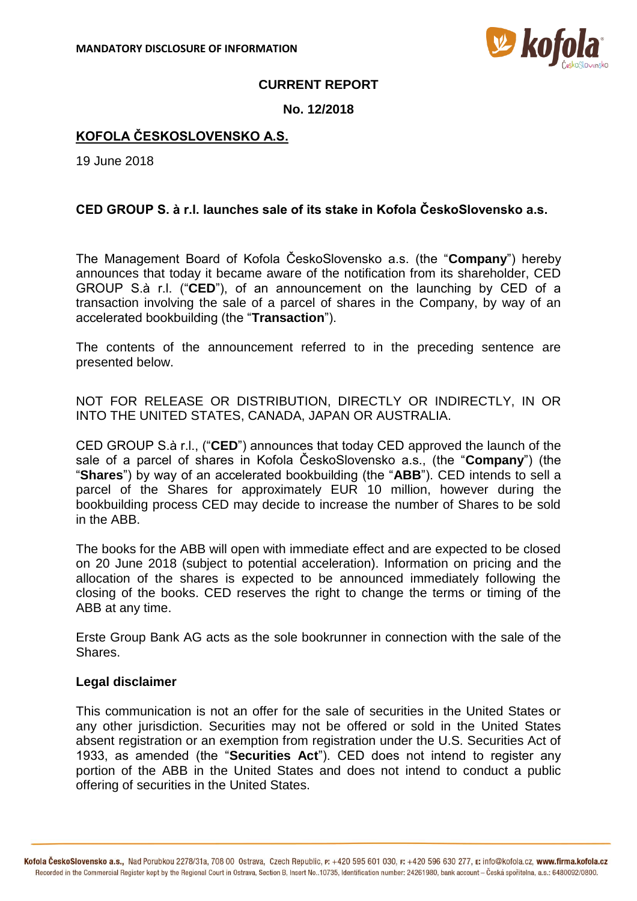

## **CURRENT REPORT**

### **No. 12/2018**

# **KOFOLA ČESKOSLOVENSKO A.S.**

19 June 2018

# **CED GROUP S. à r.l. launches sale of its stake in Kofola ČeskoSlovensko a.s.**

The Management Board of Kofola ČeskoSlovensko a.s. (the "**Company**") hereby announces that today it became aware of the notification from its shareholder, CED GROUP S.à r.l. ("**CED**"), of an announcement on the launching by CED of a transaction involving the sale of a parcel of shares in the Company, by way of an accelerated bookbuilding (the "**Transaction**").

The contents of the announcement referred to in the preceding sentence are presented below.

NOT FOR RELEASE OR DISTRIBUTION, DIRECTLY OR INDIRECTLY, IN OR INTO THE UNITED STATES, CANADA, JAPAN OR AUSTRALIA.

CED GROUP S.à r.l., ("**CED**") announces that today CED approved the launch of the sale of a parcel of shares in Kofola ČeskoSlovensko a.s., (the "**Company**") (the "**Shares**") by way of an accelerated bookbuilding (the "**ABB**"). CED intends to sell a parcel of the Shares for approximately EUR 10 million, however during the bookbuilding process CED may decide to increase the number of Shares to be sold in the ABB.

The books for the ABB will open with immediate effect and are expected to be closed on 20 June 2018 (subject to potential acceleration). Information on pricing and the allocation of the shares is expected to be announced immediately following the closing of the books. CED reserves the right to change the terms or timing of the ABB at any time.

Erste Group Bank AG acts as the sole bookrunner in connection with the sale of the Shares.

### **Legal disclaimer**

This communication is not an offer for the sale of securities in the United States or any other jurisdiction. Securities may not be offered or sold in the United States absent registration or an exemption from registration under the U.S. Securities Act of 1933, as amended (the "**Securities Act**"). CED does not intend to register any portion of the ABB in the United States and does not intend to conduct a public offering of securities in the United States.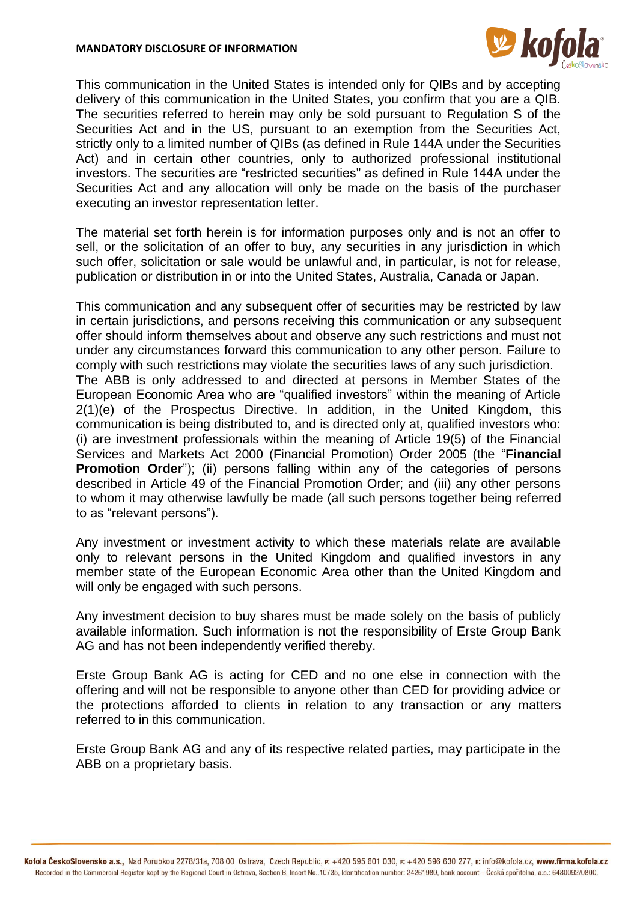

This communication in the United States is intended only for QIBs and by accepting delivery of this communication in the United States, you confirm that you are a QIB. The securities referred to herein may only be sold pursuant to Regulation S of the Securities Act and in the US, pursuant to an exemption from the Securities Act, strictly only to a limited number of QIBs (as defined in Rule 144A under the Securities Act) and in certain other countries, only to authorized professional institutional investors. The securities are "restricted securities" as defined in Rule 144A under the Securities Act and any allocation will only be made on the basis of the purchaser executing an investor representation letter.

The material set forth herein is for information purposes only and is not an offer to sell, or the solicitation of an offer to buy, any securities in any jurisdiction in which such offer, solicitation or sale would be unlawful and, in particular, is not for release, publication or distribution in or into the United States, Australia, Canada or Japan.

This communication and any subsequent offer of securities may be restricted by law in certain jurisdictions, and persons receiving this communication or any subsequent offer should inform themselves about and observe any such restrictions and must not under any circumstances forward this communication to any other person. Failure to comply with such restrictions may violate the securities laws of any such jurisdiction. The ABB is only addressed to and directed at persons in Member States of the European Economic Area who are "qualified investors" within the meaning of Article 2(1)(e) of the Prospectus Directive. In addition, in the United Kingdom, this communication is being distributed to, and is directed only at, qualified investors who: (i) are investment professionals within the meaning of Article 19(5) of the Financial Services and Markets Act 2000 (Financial Promotion) Order 2005 (the "**Financial Promotion Order**"); (ii) persons falling within any of the categories of persons described in Article 49 of the Financial Promotion Order; and (iii) any other persons to whom it may otherwise lawfully be made (all such persons together being referred to as "relevant persons").

Any investment or investment activity to which these materials relate are available only to relevant persons in the United Kingdom and qualified investors in any member state of the European Economic Area other than the United Kingdom and will only be engaged with such persons.

Any investment decision to buy shares must be made solely on the basis of publicly available information. Such information is not the responsibility of Erste Group Bank AG and has not been independently verified thereby.

Erste Group Bank AG is acting for CED and no one else in connection with the offering and will not be responsible to anyone other than CED for providing advice or the protections afforded to clients in relation to any transaction or any matters referred to in this communication.

Erste Group Bank AG and any of its respective related parties, may participate in the ABB on a proprietary basis.